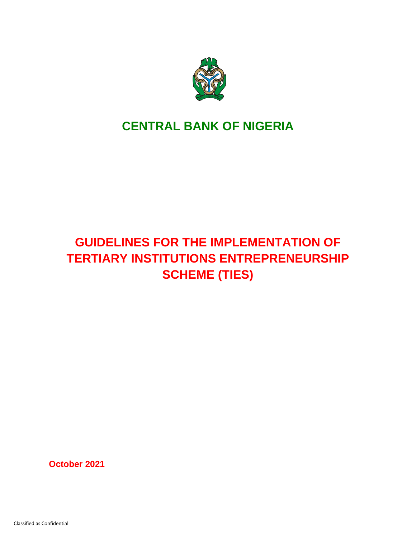

# **CENTRAL BANK OF NIGERIA**

# **GUIDELINES FOR THE IMPLEMENTATION OF TERTIARY INSTITUTIONS ENTREPRENEURSHIP SCHEME (TIES)**

**October 2021**

Classified as Confidential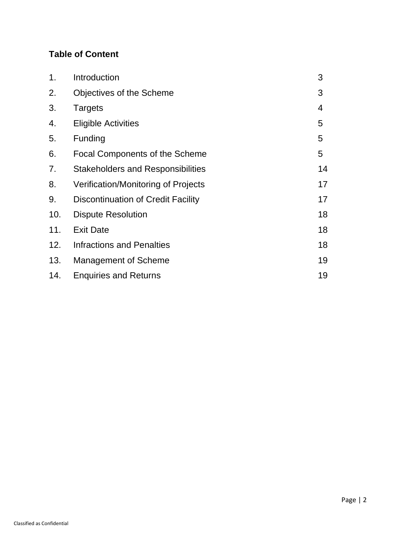# **Table of Content**

| 1.  | Introduction                              | 3              |
|-----|-------------------------------------------|----------------|
| 2.  | Objectives of the Scheme                  | 3              |
| 3.  | <b>Targets</b>                            | $\overline{4}$ |
| 4.  | <b>Eligible Activities</b>                | 5              |
| 5.  | Funding                                   | 5              |
| 6.  | <b>Focal Components of the Scheme</b>     | 5              |
| 7.  | <b>Stakeholders and Responsibilities</b>  | 14             |
| 8.  | Verification/Monitoring of Projects       | 17             |
| 9.  | <b>Discontinuation of Credit Facility</b> | 17             |
| 10. | <b>Dispute Resolution</b>                 | 18             |
| 11. | <b>Exit Date</b>                          | 18             |
| 12. | <b>Infractions and Penalties</b>          | 18             |
| 13. | <b>Management of Scheme</b>               | 19             |
| 14. | <b>Enquiries and Returns</b>              | 19             |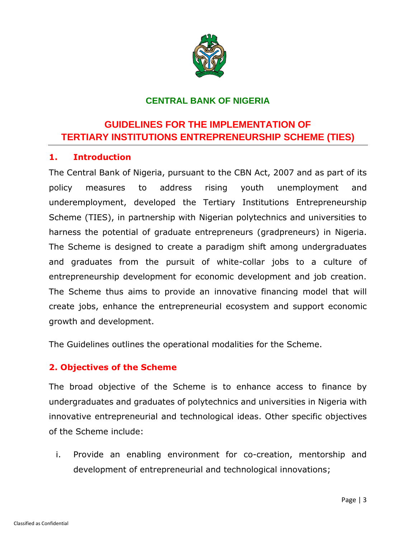

# **CENTRAL BANK OF NIGERIA**

# **GUIDELINES FOR THE IMPLEMENTATION OF TERTIARY INSTITUTIONS ENTREPRENEURSHIP SCHEME (TIES)**

#### **1. Introduction**

The Central Bank of Nigeria, pursuant to the CBN Act, 2007 and as part of its policy measures to address rising youth unemployment and underemployment, developed the Tertiary Institutions Entrepreneurship Scheme (TIES), in partnership with Nigerian polytechnics and universities to harness the potential of graduate entrepreneurs (gradpreneurs) in Nigeria. The Scheme is designed to create a paradigm shift among undergraduates and graduates from the pursuit of white-collar jobs to a culture of entrepreneurship development for economic development and job creation. The Scheme thus aims to provide an innovative financing model that will create jobs, enhance the entrepreneurial ecosystem and support economic growth and development.

The Guidelines outlines the operational modalities for the Scheme.

#### **2. Objectives of the Scheme**

The broad objective of the Scheme is to enhance access to finance by undergraduates and graduates of polytechnics and universities in Nigeria with innovative entrepreneurial and technological ideas. Other specific objectives of the Scheme include:

i. Provide an enabling environment for co-creation, mentorship and development of entrepreneurial and technological innovations;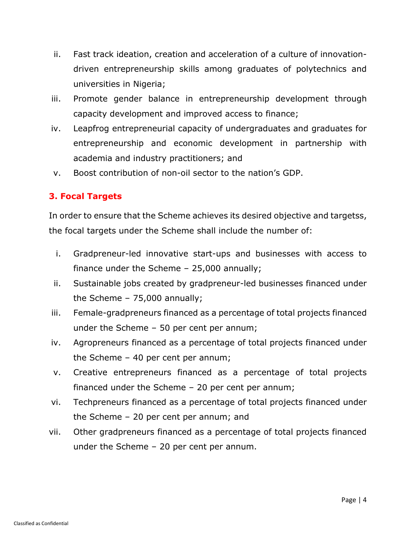- ii. Fast track ideation, creation and acceleration of a culture of innovationdriven entrepreneurship skills among graduates of polytechnics and universities in Nigeria;
- iii. Promote gender balance in entrepreneurship development through capacity development and improved access to finance;
- iv. Leapfrog entrepreneurial capacity of undergraduates and graduates for entrepreneurship and economic development in partnership with academia and industry practitioners; and
- v. Boost contribution of non-oil sector to the nation's GDP.

# **3. Focal Targets**

In order to ensure that the Scheme achieves its desired objective and targetss, the focal targets under the Scheme shall include the number of:

- i. Gradpreneur-led innovative start-ups and businesses with access to finance under the Scheme – 25,000 annually;
- ii. Sustainable jobs created by gradpreneur-led businesses financed under the Scheme – 75,000 annually;
- iii. Female-gradpreneurs financed as a percentage of total projects financed under the Scheme – 50 per cent per annum;
- iv. Agropreneurs financed as a percentage of total projects financed under the Scheme – 40 per cent per annum;
- v. Creative entrepreneurs financed as a percentage of total projects financed under the Scheme – 20 per cent per annum;
- vi. Techpreneurs financed as a percentage of total projects financed under the Scheme – 20 per cent per annum; and
- vii. Other gradpreneurs financed as a percentage of total projects financed under the Scheme – 20 per cent per annum.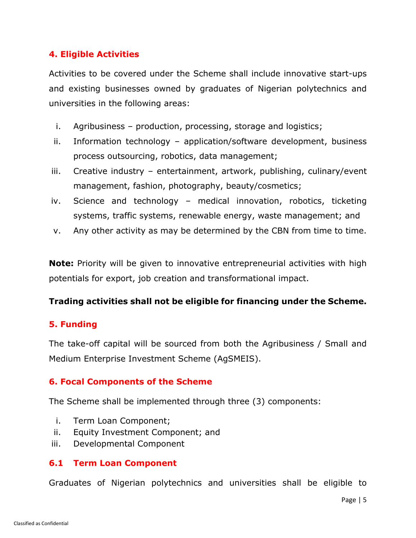# **4. Eligible Activities**

Activities to be covered under the Scheme shall include innovative start-ups and existing businesses owned by graduates of Nigerian polytechnics and universities in the following areas:

- i. Agribusiness production, processing, storage and logistics;
- ii. Information technology application/software development, business process outsourcing, robotics, data management;
- iii. Creative industry entertainment, artwork, publishing, culinary/event management, fashion, photography, beauty/cosmetics;
- iv. Science and technology medical innovation, robotics, ticketing systems, traffic systems, renewable energy, waste management; and
- v. Any other activity as may be determined by the CBN from time to time.

**Note:** Priority will be given to innovative entrepreneurial activities with high potentials for export, job creation and transformational impact.

#### **Trading activities shall not be eligible for financing under the Scheme.**

#### **5. Funding**

The take-off capital will be sourced from both the Agribusiness / Small and Medium Enterprise Investment Scheme (AgSMEIS).

#### **6. Focal Components of the Scheme**

The Scheme shall be implemented through three (3) components:

- i. Term Loan Component;
- ii. Equity Investment Component; and
- iii. Developmental Component

#### **6.1 Term Loan Component**

Graduates of Nigerian polytechnics and universities shall be eligible to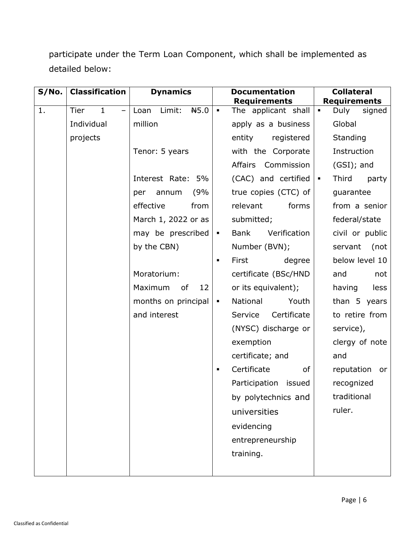participate under the Term Loan Component, which shall be implemented as detailed below:

| S/No. | <b>Classification</b>                                   | <b>Dynamics</b>        | <b>Documentation</b><br><b>Requirements</b>   | <b>Collateral</b><br><b>Requirements</b> |
|-------|---------------------------------------------------------|------------------------|-----------------------------------------------|------------------------------------------|
| 1.    | <b>Tier</b><br>$\mathbf{1}$<br>$\overline{\phantom{0}}$ | Limit:<br>H5.0<br>Loan | The applicant shall<br>$\blacksquare$         | Duly<br>signed<br>$\blacksquare$         |
|       | Individual                                              | million                | apply as a business                           | Global                                   |
|       | projects                                                |                        | entity<br>registered                          | Standing                                 |
|       |                                                         | Tenor: 5 years         | with the Corporate                            | Instruction                              |
|       |                                                         |                        | Affairs Commission                            | $(GSI)$ ; and                            |
|       |                                                         | Interest Rate: 5%      | (CAC) and certified                           | Third<br>party<br>$\blacksquare$         |
|       |                                                         | (9%<br>annum<br>per    | true copies (CTC) of                          | guarantee                                |
|       |                                                         | effective<br>from      | forms<br>relevant                             | from a senior                            |
|       |                                                         | March 1, 2022 or as    | submitted;                                    | federal/state                            |
|       |                                                         | may be prescribed      | <b>Bank</b><br>Verification<br>$\blacksquare$ | civil or public                          |
|       |                                                         | by the CBN)            | Number (BVN);                                 | servant<br>(not                          |
|       |                                                         |                        | First<br>degree<br>$\blacksquare$             | below level 10                           |
|       |                                                         | Moratorium:            | certificate (BSc/HND                          | and<br>not                               |
|       |                                                         | Maximum<br>12<br>of    | or its equivalent);                           | having<br>less                           |
|       |                                                         | months on principal    | National<br>Youth<br>$\blacksquare$           | than 5 years                             |
|       |                                                         | and interest           | Certificate<br>Service                        | to retire from                           |
|       |                                                         |                        | (NYSC) discharge or                           | service),                                |
|       |                                                         |                        | exemption                                     | clergy of note                           |
|       |                                                         |                        | certificate; and                              | and                                      |
|       |                                                         |                        | Certificate<br>of<br>٠                        | reputation<br>or                         |
|       |                                                         |                        | Participation issued                          | recognized                               |
|       |                                                         |                        | by polytechnics and                           | traditional                              |
|       |                                                         |                        | universities                                  | ruler.                                   |
|       |                                                         |                        | evidencing                                    |                                          |
|       |                                                         |                        | entrepreneurship                              |                                          |
|       |                                                         |                        | training.                                     |                                          |
|       |                                                         |                        |                                               |                                          |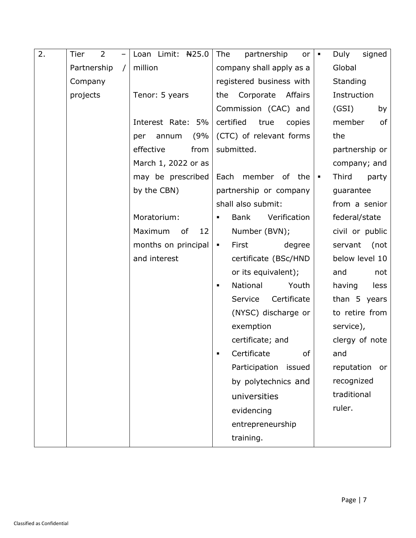| 2. | Tier<br>2                 | Loan Limit: $H25.0$ | The<br>partnership<br>or               | Duly<br>signed<br>$\blacksquare$ |
|----|---------------------------|---------------------|----------------------------------------|----------------------------------|
|    | Partnership<br>$\sqrt{2}$ | million             | company shall apply as a               | Global                           |
|    | Company                   |                     | registered business with               | Standing                         |
|    | projects                  | Tenor: 5 years      | Corporate Affairs<br>the               | Instruction                      |
|    |                           |                     | Commission (CAC) and                   | (GSI)<br>by                      |
|    |                           | Interest Rate: 5%   | certified<br>true<br>copies            | member<br>0f                     |
|    |                           | (9%<br>annum<br>per | (CTC) of relevant forms                | the                              |
|    |                           | effective<br>from   | submitted.                             | partnership or                   |
|    |                           | March 1, 2022 or as |                                        | company; and                     |
|    |                           | may be prescribed   | Each member of the                     | Third<br>party<br>$\blacksquare$ |
|    |                           | by the CBN)         | partnership or company                 | guarantee                        |
|    |                           |                     | shall also submit:                     | from a senior                    |
|    |                           | Moratorium:         | Verification<br>Bank<br>$\blacksquare$ | federal/state                    |
|    |                           | Maximum<br>of<br>12 | Number (BVN);                          | civil or public                  |
|    |                           | months on principal | First<br>degree<br>$\blacksquare$      | servant<br>(not                  |
|    |                           | and interest        | certificate (BSc/HND                   | below level 10                   |
|    |                           |                     | or its equivalent);                    | and<br>not                       |
|    |                           |                     | National<br>Youth<br>$\blacksquare$    | having<br>less                   |
|    |                           |                     | Certificate<br>Service                 | than 5 years                     |
|    |                           |                     | (NYSC) discharge or                    | to retire from                   |
|    |                           |                     | exemption                              | service),                        |
|    |                           |                     | certificate; and                       | clergy of note                   |
|    |                           |                     | Certificate<br>of                      | and                              |
|    |                           |                     | Participation<br>issued                | reputation<br>or                 |
|    |                           |                     | by polytechnics and                    | recognized                       |
|    |                           |                     | universities                           | traditional                      |
|    |                           |                     | evidencing                             | ruler.                           |
|    |                           |                     | entrepreneurship                       |                                  |
|    |                           |                     | training.                              |                                  |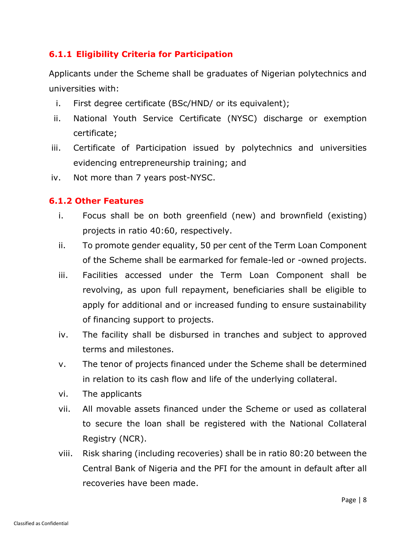# **6.1.1 Eligibility Criteria for Participation**

Applicants under the Scheme shall be graduates of Nigerian polytechnics and universities with:

- i. First degree certificate (BSc/HND/ or its equivalent);
- ii. National Youth Service Certificate (NYSC) discharge or exemption certificate;
- iii. Certificate of Participation issued by polytechnics and universities evidencing entrepreneurship training; and
- iv. Not more than 7 years post-NYSC.

# **6.1.2 Other Features**

- i. Focus shall be on both greenfield (new) and brownfield (existing) projects in ratio 40:60, respectively.
- ii. To promote gender equality, 50 per cent of the Term Loan Component of the Scheme shall be earmarked for female-led or -owned projects.
- iii. Facilities accessed under the Term Loan Component shall be revolving, as upon full repayment, beneficiaries shall be eligible to apply for additional and or increased funding to ensure sustainability of financing support to projects.
- iv. The facility shall be disbursed in tranches and subject to approved terms and milestones.
- v. The tenor of projects financed under the Scheme shall be determined in relation to its cash flow and life of the underlying collateral.
- vi. The applicants
- vii. All movable assets financed under the Scheme or used as collateral to secure the loan shall be registered with the National Collateral Registry (NCR).
- viii. Risk sharing (including recoveries) shall be in ratio 80:20 between the Central Bank of Nigeria and the PFI for the amount in default after all recoveries have been made.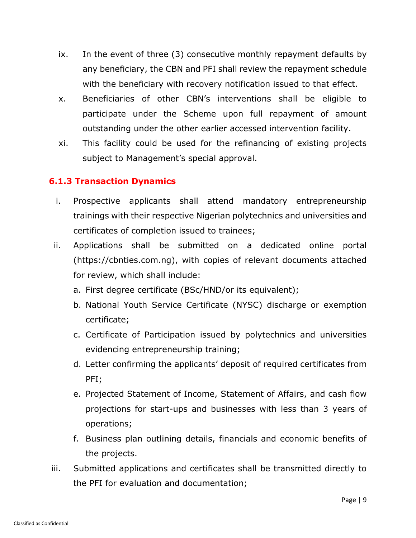- ix. In the event of three (3) consecutive monthly repayment defaults by any beneficiary, the CBN and PFI shall review the repayment schedule with the beneficiary with recovery notification issued to that effect.
- x. Beneficiaries of other CBN's interventions shall be eligible to participate under the Scheme upon full repayment of amount outstanding under the other earlier accessed intervention facility.
- xi. This facility could be used for the refinancing of existing projects subject to Management's special approval.

# **6.1.3 Transaction Dynamics**

- i. Prospective applicants shall attend mandatory entrepreneurship trainings with their respective Nigerian polytechnics and universities and certificates of completion issued to trainees;
- ii. Applications shall be submitted on a dedicated online portal (https://cbnties.com.ng), with copies of relevant documents attached for review, which shall include:
	- a. First degree certificate (BSc/HND/or its equivalent);
	- b. National Youth Service Certificate (NYSC) discharge or exemption certificate;
	- c. Certificate of Participation issued by polytechnics and universities evidencing entrepreneurship training;
	- d. Letter confirming the applicants' deposit of required certificates from PFI;
	- e. Projected Statement of Income, Statement of Affairs, and cash flow projections for start-ups and businesses with less than 3 years of operations;
	- f. Business plan outlining details, financials and economic benefits of the projects.
- iii. Submitted applications and certificates shall be transmitted directly to the PFI for evaluation and documentation;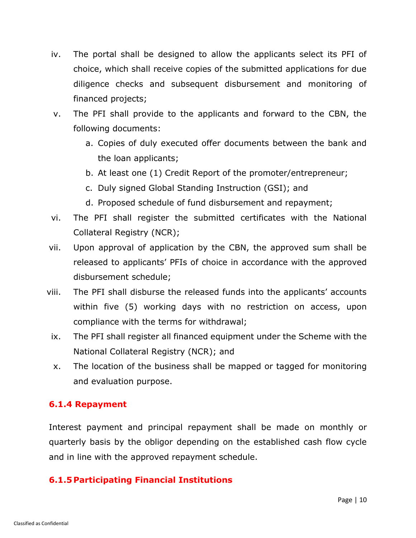- iv. The portal shall be designed to allow the applicants select its PFI of choice, which shall receive copies of the submitted applications for due diligence checks and subsequent disbursement and monitoring of financed projects;
- v. The PFI shall provide to the applicants and forward to the CBN, the following documents:
	- a. Copies of duly executed offer documents between the bank and the loan applicants;
	- b. At least one (1) Credit Report of the promoter/entrepreneur;
	- c. Duly signed Global Standing Instruction (GSI); and
	- d. Proposed schedule of fund disbursement and repayment;
- vi. The PFI shall register the submitted certificates with the National Collateral Registry (NCR);
- vii. Upon approval of application by the CBN, the approved sum shall be released to applicants' PFIs of choice in accordance with the approved disbursement schedule;
- viii. The PFI shall disburse the released funds into the applicants' accounts within five (5) working days with no restriction on access, upon compliance with the terms for withdrawal;
	- ix. The PFI shall register all financed equipment under the Scheme with the National Collateral Registry (NCR); and
	- x. The location of the business shall be mapped or tagged for monitoring and evaluation purpose.

# **6.1.4 Repayment**

Interest payment and principal repayment shall be made on monthly or quarterly basis by the obligor depending on the established cash flow cycle and in line with the approved repayment schedule.

# **6.1.5 Participating Financial Institutions**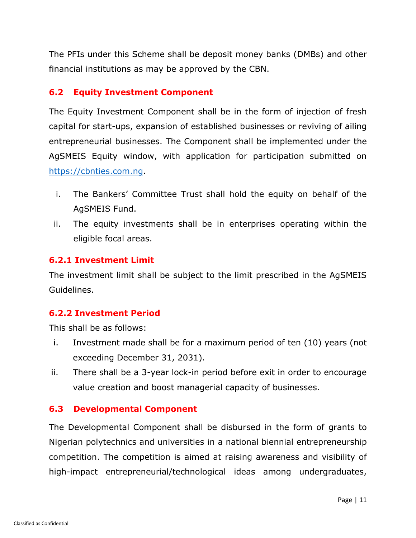The PFIs under this Scheme shall be deposit money banks (DMBs) and other financial institutions as may be approved by the CBN.

# **6.2 Equity Investment Component**

The Equity Investment Component shall be in the form of injection of fresh capital for start-ups, expansion of established businesses or reviving of ailing entrepreneurial businesses. The Component shall be implemented under the AgSMEIS Equity window, with application for participation submitted on [https://cbnties.com.ng.](https://cbnties.com.ng/)

- i. The Bankers' Committee Trust shall hold the equity on behalf of the AgSMEIS Fund.
- ii. The equity investments shall be in enterprises operating within the eligible focal areas.

#### **6.2.1 Investment Limit**

The investment limit shall be subject to the limit prescribed in the AgSMEIS Guidelines.

#### **6.2.2 Investment Period**

This shall be as follows:

- i. Investment made shall be for a maximum period of ten (10) years (not exceeding December 31, 2031).
- ii. There shall be a 3-year lock-in period before exit in order to encourage value creation and boost managerial capacity of businesses.

#### **6.3 Developmental Component**

The Developmental Component shall be disbursed in the form of grants to Nigerian polytechnics and universities in a national biennial entrepreneurship competition. The competition is aimed at raising awareness and visibility of high-impact entrepreneurial/technological ideas among undergraduates,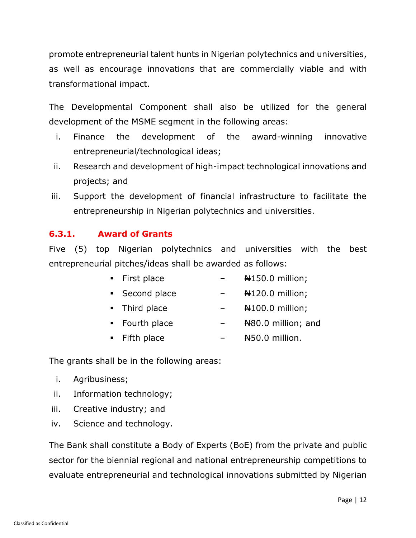promote entrepreneurial talent hunts in Nigerian polytechnics and universities, as well as encourage innovations that are commercially viable and with transformational impact.

The Developmental Component shall also be utilized for the general development of the MSME segment in the following areas:

- i. Finance the development of the award-winning innovative entrepreneurial/technological ideas;
- ii. Research and development of high-impact technological innovations and projects; and
- iii. Support the development of financial infrastructure to facilitate the entrepreneurship in Nigerian polytechnics and universities.

# **6.3.1. Award of Grants**

Five (5) top Nigerian polytechnics and universities with the best entrepreneurial pitches/ideas shall be awarded as follows:

- First place  $+150.0$  million;
- **•** Second place  $+120.0$  million;
- Third place  $\sqrt{24100.0}$  million;
- Fourth place  $\text{H80.0}$  million; and
- $\blacksquare$  Fifth place  $\blacksquare$   $\blacksquare$   $\blacksquare$   $\blacksquare$   $\blacksquare$   $\blacksquare$

The grants shall be in the following areas:

- i. Agribusiness;
- ii. Information technology;
- iii. Creative industry; and
- iv. Science and technology.

The Bank shall constitute a Body of Experts (BoE) from the private and public sector for the biennial regional and national entrepreneurship competitions to evaluate entrepreneurial and technological innovations submitted by Nigerian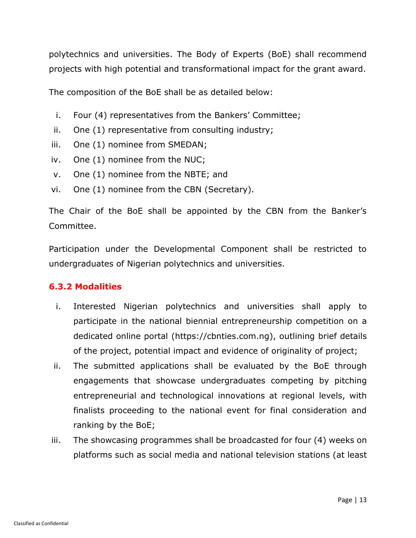polytechnics and universities. The Body of Experts (BoE) shall recommend projects with high potential and transformational impact for the grant award.

The composition of the BoE shall be as detailed below:

- i. Four (4) representatives from the Bankers' Committee;
- ii. One (1) representative from consulting industry;
- iii. One (1) nominee from SMEDAN;
- iv. One (1) nominee from the NUC;
- v. One (1) nominee from the NBTE; and
- vi. One (1) nominee from the CBN (Secretary).

The Chair of the BoE shall be appointed by the CBN from the Banker's Committee.

Participation under the Developmental Component shall be restricted to undergraduates of Nigerian polytechnics and universities.

#### **6.3.2 Modalities**

- i. Interested Nigerian polytechnics and universities shall apply to participate in the national biennial entrepreneurship competition on a dedicated online portal (https://cbnties.com.ng), outlining brief details of the project, potential impact and evidence of originality of project;
- ii. The submitted applications shall be evaluated by the BoE through engagements that showcase undergraduates competing by pitching entrepreneurial and technological innovations at regional levels, with finalists proceeding to the national event for final consideration and ranking by the BoE;
- iii. The showcasing programmes shall be broadcasted for four (4) weeks on platforms such as social media and national television stations (at least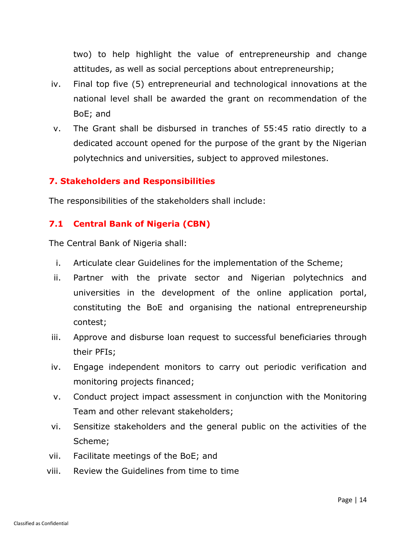two) to help highlight the value of entrepreneurship and change attitudes, as well as social perceptions about entrepreneurship;

- iv. Final top five (5) entrepreneurial and technological innovations at the national level shall be awarded the grant on recommendation of the BoE; and
- v. The Grant shall be disbursed in tranches of 55:45 ratio directly to a dedicated account opened for the purpose of the grant by the Nigerian polytechnics and universities, subject to approved milestones.

#### **7. Stakeholders and Responsibilities**

The responsibilities of the stakeholders shall include:

# **7.1 Central Bank of Nigeria (CBN)**

The Central Bank of Nigeria shall:

- i. Articulate clear Guidelines for the implementation of the Scheme;
- ii. Partner with the private sector and Nigerian polytechnics and universities in the development of the online application portal, constituting the BoE and organising the national entrepreneurship contest;
- iii. Approve and disburse loan request to successful beneficiaries through their PFIs;
- iv. Engage independent monitors to carry out periodic verification and monitoring projects financed;
- v. Conduct project impact assessment in conjunction with the Monitoring Team and other relevant stakeholders;
- vi. Sensitize stakeholders and the general public on the activities of the Scheme;
- vii. Facilitate meetings of the BoE; and
- viii. Review the Guidelines from time to time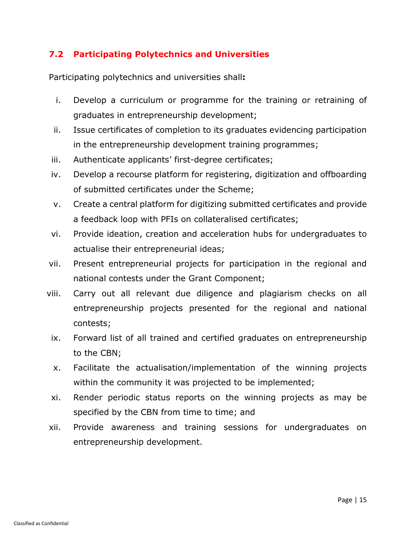# **7.2 Participating Polytechnics and Universities**

Participating polytechnics and universities shall**:**

- i. Develop a curriculum or programme for the training or retraining of graduates in entrepreneurship development;
- ii. Issue certificates of completion to its graduates evidencing participation in the entrepreneurship development training programmes;
- iii. Authenticate applicants' first-degree certificates;
- iv. Develop a recourse platform for registering, digitization and offboarding of submitted certificates under the Scheme;
- v. Create a central platform for digitizing submitted certificates and provide a feedback loop with PFIs on collateralised certificates;
- vi. Provide ideation, creation and acceleration hubs for undergraduates to actualise their entrepreneurial ideas;
- vii. Present entrepreneurial projects for participation in the regional and national contests under the Grant Component;
- viii. Carry out all relevant due diligence and plagiarism checks on all entrepreneurship projects presented for the regional and national contests;
	- ix. Forward list of all trained and certified graduates on entrepreneurship to the CBN;
	- x. Facilitate the actualisation/implementation of the winning projects within the community it was projected to be implemented;
	- xi. Render periodic status reports on the winning projects as may be specified by the CBN from time to time; and
- xii. Provide awareness and training sessions for undergraduates on entrepreneurship development.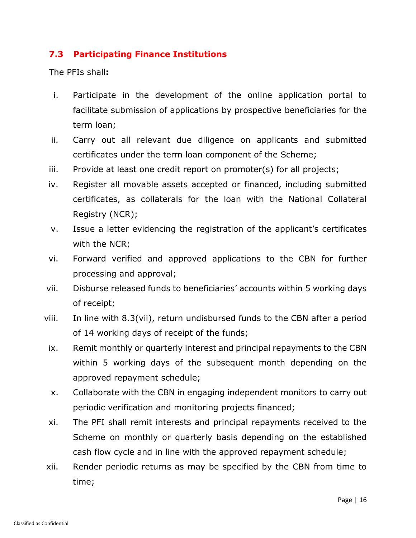# **7.3 Participating Finance Institutions**

The PFIs shall**:**

- i. Participate in the development of the online application portal to facilitate submission of applications by prospective beneficiaries for the term loan;
- ii. Carry out all relevant due diligence on applicants and submitted certificates under the term loan component of the Scheme;
- iii. Provide at least one credit report on promoter(s) for all projects;
- iv. Register all movable assets accepted or financed, including submitted certificates, as collaterals for the loan with the National Collateral Registry (NCR);
- v. Issue a letter evidencing the registration of the applicant's certificates with the NCR;
- vi. Forward verified and approved applications to the CBN for further processing and approval;
- vii. Disburse released funds to beneficiaries' accounts within 5 working days of receipt;
- viii. In line with 8.3(vii), return undisbursed funds to the CBN after a period of 14 working days of receipt of the funds;
- ix. Remit monthly or quarterly interest and principal repayments to the CBN within 5 working days of the subsequent month depending on the approved repayment schedule;
- x. Collaborate with the CBN in engaging independent monitors to carry out periodic verification and monitoring projects financed;
- xi. The PFI shall remit interests and principal repayments received to the Scheme on monthly or quarterly basis depending on the established cash flow cycle and in line with the approved repayment schedule;
- xii. Render periodic returns as may be specified by the CBN from time to time;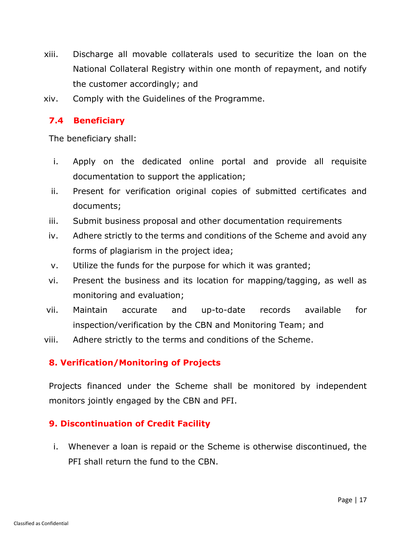- xiii. Discharge all movable collaterals used to securitize the loan on the National Collateral Registry within one month of repayment, and notify the customer accordingly; and
- xiv. Comply with the Guidelines of the Programme.

# **7.4 Beneficiary**

The beneficiary shall:

- i. Apply on the dedicated online portal and provide all requisite documentation to support the application;
- ii. Present for verification original copies of submitted certificates and documents;
- iii. Submit business proposal and other documentation requirements
- iv. Adhere strictly to the terms and conditions of the Scheme and avoid any forms of plagiarism in the project idea;
- v. Utilize the funds for the purpose for which it was granted;
- vi. Present the business and its location for mapping/tagging, as well as monitoring and evaluation;
- vii. Maintain accurate and up-to-date records available for inspection/verification by the CBN and Monitoring Team; and
- viii. Adhere strictly to the terms and conditions of the Scheme.

#### **8. Verification/Monitoring of Projects**

Projects financed under the Scheme shall be monitored by independent monitors jointly engaged by the CBN and PFI.

#### **9. Discontinuation of Credit Facility**

i. Whenever a loan is repaid or the Scheme is otherwise discontinued, the PFI shall return the fund to the CBN.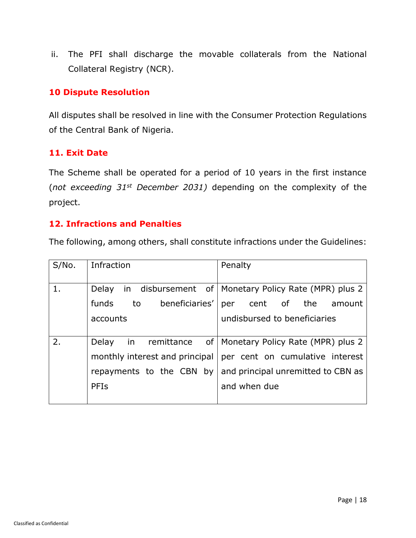ii. The PFI shall discharge the movable collaterals from the National Collateral Registry (NCR).

#### **10 Dispute Resolution**

All disputes shall be resolved in line with the Consumer Protection Regulations of the Central Bank of Nigeria.

#### **11. Exit Date**

The Scheme shall be operated for a period of 10 years in the first instance (*not exceeding 31st December 2031)* depending on the complexity of the project.

#### **12. Infractions and Penalties**

The following, among others, shall constitute infractions under the Guidelines:

| S/No. | Infraction                     | Penalty                                                |
|-------|--------------------------------|--------------------------------------------------------|
| 1.    | Delay                          | in disbursement of   Monetary Policy Rate (MPR) plus 2 |
|       | beneficiaries'<br>funds<br>to  | cent of the<br>amount<br>per                           |
|       | accounts                       | undisbursed to beneficiaries                           |
|       |                                |                                                        |
| 2.    | Delay<br>in remittance         | of   Monetary Policy Rate (MPR) plus 2                 |
|       | monthly interest and principal | per cent on cumulative interest                        |
|       | repayments to the CBN by       | and principal unremitted to CBN as                     |
|       | PFIS                           | and when due                                           |
|       |                                |                                                        |